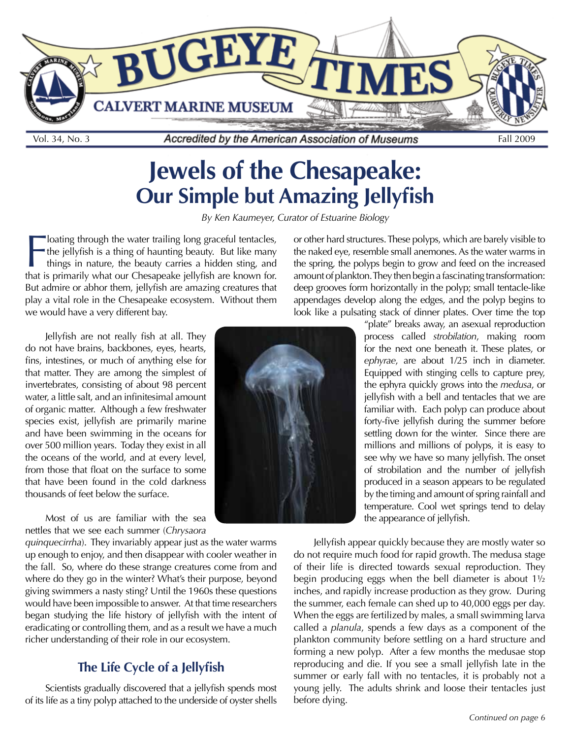

# **Jewels of the Chesapeake: Our Simple but Amazing Jellyfish**

*By Ken Kaumeyer, Curator of Estuarine Biology*

**Follow I amazy is primarily what our Chesapeake jellyfish are known for.** The jellyfish is a thing of haunting beauty. But like many things in nature, the beauty carries a hidden sting, and that is primarily what our Ches loating through the water trailing long graceful tentacles, the jellyfish is a thing of haunting beauty. But like many things in nature, the beauty carries a hidden sting, and But admire or abhor them, jellyfish are amazing creatures that play a vital role in the Chesapeake ecosystem. Without them we would have a very different bay.

Jellyfish are not really fish at all. They do not have brains, backbones, eyes, hearts, fins, intestines, or much of anything else for that matter. They are among the simplest of invertebrates, consisting of about 98 percent water, a little salt, and an infinitesimal amount of organic matter. Although a few freshwater species exist, jellyfish are primarily marine and have been swimming in the oceans for over 500 million years. Today they exist in all the oceans of the world, and at every level, from those that float on the surface to some that have been found in the cold darkness thousands of feet below the surface.

Most of us are familiar with the sea nettles that we see each summer (*Chrysaora* 

*quinquecirrha*). They invariably appear just as the water warms up enough to enjoy, and then disappear with cooler weather in the fall. So, where do these strange creatures come from and where do they go in the winter? What's their purpose, beyond giving swimmers a nasty sting? Until the 1960s these questions would have been impossible to answer. At that time researchers began studying the life history of jellyfish with the intent of eradicating or controlling them, and as a result we have a much richer understanding of their role in our ecosystem.

#### **The Life Cycle of a Jellyfish**

Scientists gradually discovered that a jellyfish spends most of its life as a tiny polyp attached to the underside of oyster shells



or other hard structures. These polyps, which are barely visible to the naked eye, resemble small anemones. As the water warms in the spring, the polyps begin to grow and feed on the increased amount of plankton. They then begin a fascinating transformation: deep grooves form horizontally in the polyp; small tentacle-like appendages develop along the edges, and the polyp begins to look like a pulsating stack of dinner plates. Over time the top

> "plate" breaks away, an asexual reproduction process called *strobilation*, making room for the next one beneath it. These plates, or *ephyrae*, are about 1/25 inch in diameter. Equipped with stinging cells to capture prey, the ephyra quickly grows into the *medusa*, or jellyfish with a bell and tentacles that we are familiar with. Each polyp can produce about forty-five jellyfish during the summer before settling down for the winter. Since there are millions and millions of polyps, it is easy to see why we have so many jellyfish. The onset of strobilation and the number of jellyfish produced in a season appears to be regulated by the timing and amount of spring rainfall and temperature. Cool wet springs tend to delay the appearance of jellyfish.

Jellyfish appear quickly because they are mostly water so do not require much food for rapid growth. The medusa stage of their life is directed towards sexual reproduction. They begin producing eggs when the bell diameter is about 1½ inches, and rapidly increase production as they grow. During the summer, each female can shed up to 40,000 eggs per day. When the eggs are fertilized by males, a small swimming larva called a *planula*, spends a few days as a component of the plankton community before settling on a hard structure and forming a new polyp. After a few months the medusae stop reproducing and die. If you see a small jellyfish late in the summer or early fall with no tentacles, it is probably not a young jelly. The adults shrink and loose their tentacles just before dying.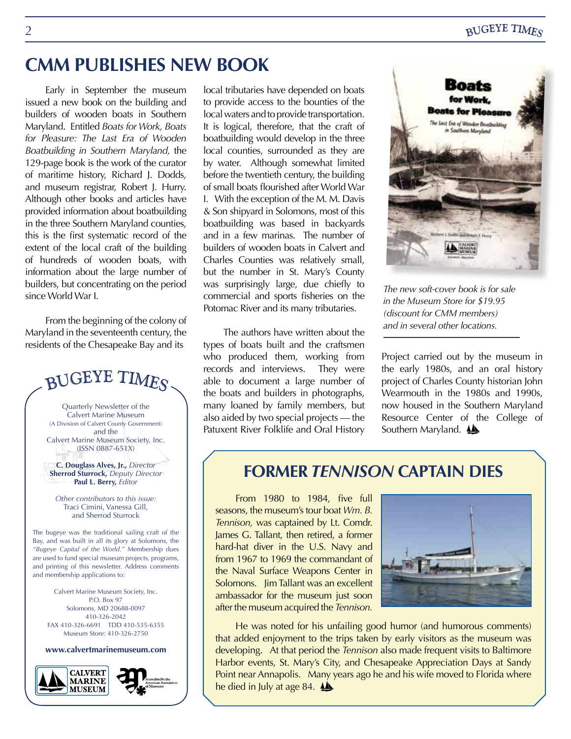# **CMM PUBLISHES NEW BOOK**

Early in September the museum issued a new book on the building and builders of wooden boats in Southern Maryland. Entitled *Boats for Work, Boats for Pleasure: The Last Era of Wooden Boatbuilding in Southern Maryland,* the 129-page book is the work of the curator of maritime history, Richard J. Dodds, and museum registrar, Robert J. Hurry. Although other books and articles have provided information about boatbuilding in the three Southern Maryland counties, this is the first systematic record of the extent of the local craft of the building of hundreds of wooden boats, with information about the large number of builders, but concentrating on the period since World War I.

From the beginning of the colony of Maryland in the seventeenth century, the residents of the Chesapeake Bay and its

# BUGEYE TIMES

Quarterly Newsletter of the Calvert Marine Museum (A Division of Calvert County Government) and the Calvert Marine Museum Society, Inc. (ISSN 0887-651X)

**C. Douglass Alves, Jr.,** *Director* **Sherrod Sturrock,** *Deputy Director* **Paul L. Berry,** *Editor*

*Other contributors to this issue:* Traci Cimini, Vanessa Gill, and Sherrod Sturrock

The bugeye was the traditional sailing craft of the Bay, and was built in all its glory at Solomons, the *"Bugeye Capital of the World."* Membership dues are used to fund special museum projects, programs, and printing of this newsletter. Address comments and membership applications to:

Calvert Marine Museum Society, Inc.  $PO$ . Box 97 Solomons, MD 20688-0097 410-326-2042 FAX 410-326-6691 TDD 410-535-6355 Museum Store: 410-326-2750

**www.calvertmarinemuseum.com**





local tributaries have depended on boats to provide access to the bounties of the local waters and to provide transportation. It is logical, therefore, that the craft of boatbuilding would develop in the three local counties, surrounded as they are by water. Although somewhat limited before the twentieth century, the building of small boats flourished after World War I. With the exception of the M. M. Davis & Son shipyard in Solomons, most of this boatbuilding was based in backyards and in a few marinas. The number of builders of wooden boats in Calvert and Charles Counties was relatively small, but the number in St. Mary's County was surprisingly large, due chiefly to commercial and sports fisheries on the Potomac River and its many tributaries.

The authors have written about the types of boats built and the craftsmen who produced them, working from records and interviews. They were able to document a large number of the boats and builders in photographs, many loaned by family members, but also aided by two special projects — the Patuxent River Folklife and Oral History



*The new soft-cover book is for sale in the Museum Store for \$19.95 (discount for CMM members) and in several other locations.* 

Project carried out by the museum in the early 1980s, and an oral history project of Charles County historian John Wearmouth in the 1980s and 1990s, now housed in the Southern Maryland Resource Center of the College of Southern Maryland. <a>

## **FORMER** *TENNISON* **CAPTAIN DIES**

From 1980 to 1984, five full seasons, the museum's tour boat *Wm. B. Tennison,* was captained by Lt. Comdr. James G. Tallant, then retired, a former hard-hat diver in the U.S. Navy and from 1967 to 1969 the commandant of the Naval Surface Weapons Center in Solomons. Jim Tallant was an excellent ambassador for the museum just soon after the museum acquired the *Tennison.*



He was noted for his unfailing good humor (and humorous comments) that added enjoyment to the trips taken by early visitors as the museum was developing. At that period the *Tennison* also made frequent visits to Baltimore Harbor events, St. Mary's City, and Chesapeake Appreciation Days at Sandy Point near Annapolis. Many years ago he and his wife moved to Florida where he died in July at age 84.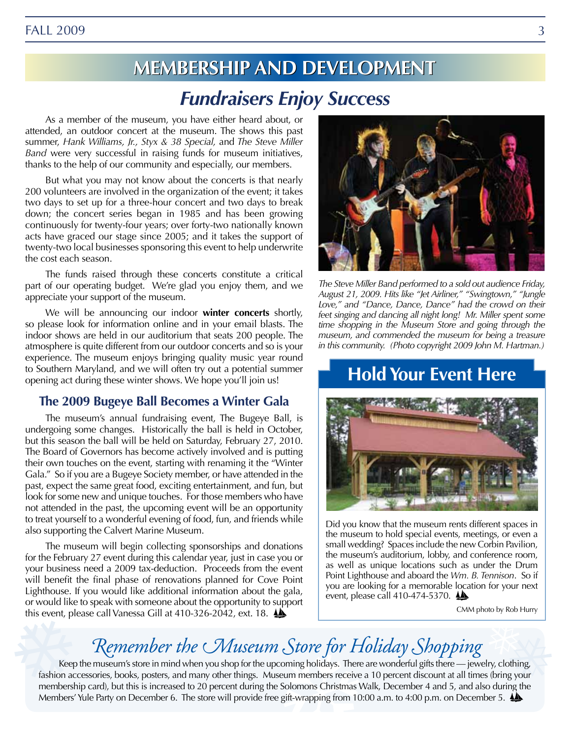# **Membe embersshipipand and Deevelopment elopment** *Fundraisers Enjoy Success*

As a member of the museum, you have either heard about, or attended, an outdoor concert at the museum. The shows this past summer, *Hank Williams, Jr., Styx & 38 Special,* and *The Steve Miller Band* were very successful in raising funds for museum initiatives, thanks to the help of our community and especially, our members.

But what you may not know about the concerts is that nearly 200 volunteers are involved in the organization of the event; it takes two days to set up for a three-hour concert and two days to break down; the concert series began in 1985 and has been growing continuously for twenty-four years; over forty-two nationally known acts have graced our stage since 2005; and it takes the support of twenty-two local businesses sponsoring this event to help underwrite the cost each season.

The funds raised through these concerts constitute a critical part of our operating budget. We're glad you enjoy them, and we appreciate your support of the museum.

We will be announcing our indoor **winter concerts** shortly, so please look for information online and in your email blasts. The indoor shows are held in our auditorium that seats 200 people. The atmosphere is quite different from our outdoor concerts and so is your experience. The museum enjoys bringing quality music year round to Southern Maryland, and we will often try out a potential summer opening act during these winter shows. We hope you'll join us!

#### **The 2009 Bugeye Ball Becomes a Winter Gala**

The museum's annual fundraising event, The Bugeye Ball, is undergoing some changes. Historically the ball is held in October, but this season the ball will be held on Saturday, February 27, 2010. The Board of Governors has become actively involved and is putting their own touches on the event, starting with renaming it the "Winter Gala." So if you are a Bugeye Society member, or have attended in the past, expect the same great food, exciting entertainment, and fun, but look for some new and unique touches. For those members who have not attended in the past, the upcoming event will be an opportunity to treat yourself to a wonderful evening of food, fun, and friends while also supporting the Calvert Marine Museum.

The museum will begin collecting sponsorships and donations for the February 27 event during this calendar year, just in case you or your business need a 2009 tax-deduction. Proceeds from the event will benefit the final phase of renovations planned for Cove Point Lighthouse. If you would like additional information about the gala, or would like to speak with someone about the opportunity to support this event, please call Vanessa Gill at 410-326-2042, ext. 18.



*The Steve Miller Band performed to a sold out audience Friday, August 21, 2009. Hits like "Jet Airliner," "Swingtown," "Jungle Love," and "Dance, Dance, Dance" had the crowd on their feet singing and dancing all night long! Mr. Miller spent some time shopping in the Museum Store and going through the museum, and commended the museum for being a treasure in this community. (Photo copyright 2009 John M. Hartman.)*

# **Hold Your Event Here**



Did you know that the museum rents different spaces in the museum to hold special events, meetings, or even a small wedding? Spaces include the new Corbin Pavilion, the museum's auditorium, lobby, and conference room, as well as unique locations such as under the Drum Point Lighthouse and aboard the *Wm. B. Tennison*. So if you are looking for a memorable location for your next event, please call 410-474-5370.

CMM photo by Rob Hurry

# *Remember the Museum Store for Holiday Shopping*

Keep the museum's store in mind when you shop for the upcoming holidays. There are wonderful gifts there — jewelry, clothing, fashion accessories, books, posters, and many other things. Museum members receive a 10 percent discount at all times (bring your membership card), but this is increased to 20 percent during the Solomons Christmas Walk, December 4 and 5, and also during the Members' Yule Party on December 6. The store will provide free gift-wrapping from 10:00 a.m. to 4:00 p.m. on December 5.  $\clubsuit$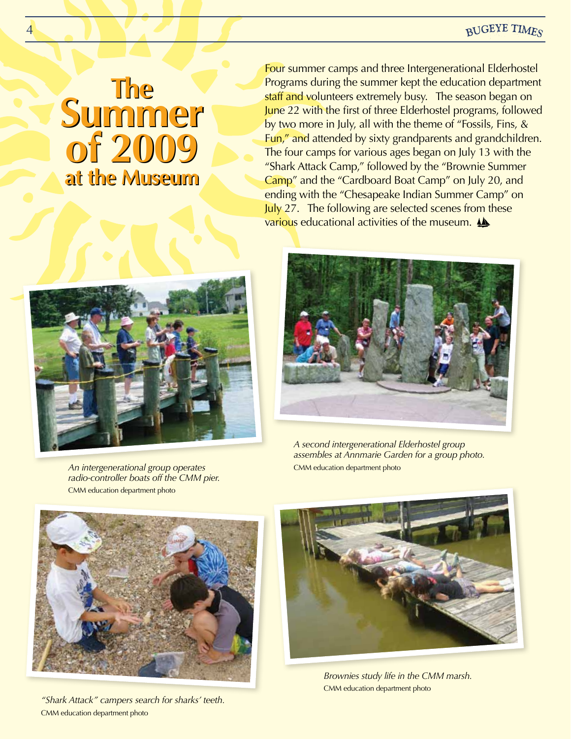#### **BUGEYE TIMES**

## **The Summer of 2009 of 2009 at the Museum at the Museum The Summer**

4

Four summer camps and three Intergenerational Elderhostel Programs during the summer kept the education department staff and volunteers extremely busy. The season began on June 22 with the first of three Elderhostel programs, followed by two more in July, all with the theme of "Fossils, Fins, & Fun," and attended by sixty grandparents and grandchildren. The four camps for various ages began on July 13 with the "Shark Attack Camp," followed by the "Brownie Summer Camp" and the "Cardboard Boat Camp" on July 20, and ending with the "Chesapeake Indian Summer Camp" on July 27. The following are selected scenes from these various educational activities of the museum.



*An intergenerational group operates radio-controller boats off the CMM pier.*

CMM education department photo



*A second intergenerational Elderhostel group assembles at Annmarie Garden for a group photo.*  CMM education department photo



*"Shark Attack" campers search for sharks' teeth.* CMM education department photo



*Brownies study life in the CMM marsh.* CMM education department photo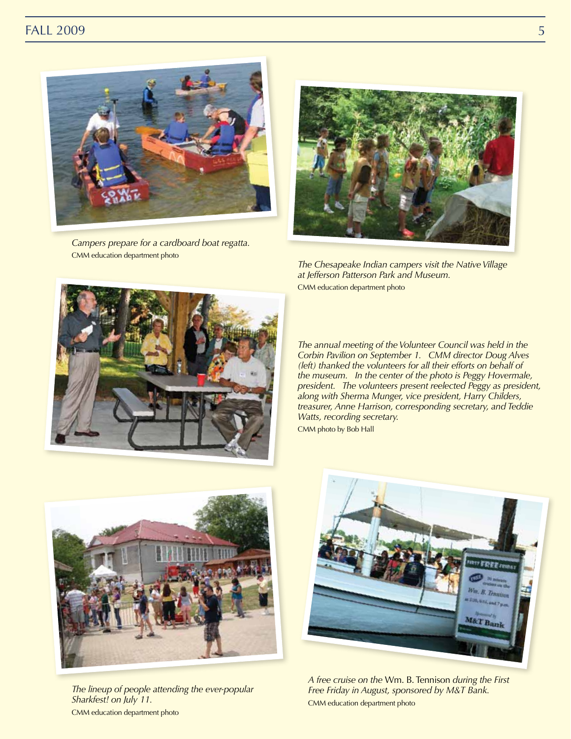#### FALL 2009 5



*Campers prepare for a cardboard boat regatta.* CMM education department photo



*The Chesapeake Indian campers visit the Native Village at Jefferson Patterson Park and Museum.* CMM education department photo



*The annual meeting of the Volunteer Council was held in the Corbin Pavilion on September 1. CMM director Doug Alves (left) thanked the volunteers for all their efforts on behalf of the museum. In the center of the photo is Peggy Hovermale, president. The volunteers present reelected Peggy as president, along with Sherma Munger, vice president, Harry Childers, treasurer, Anne Harrison, corresponding secretary, and Teddie Watts, recording secretary.* CMM photo by Bob Hall



*The lineup of people attending the ever-popular Sharkfest! on July 11.* CMM education department photo



*A free cruise on the* Wm. B. Tennison *during the First Free Friday in August, sponsored by M&T Bank.* CMM education department photo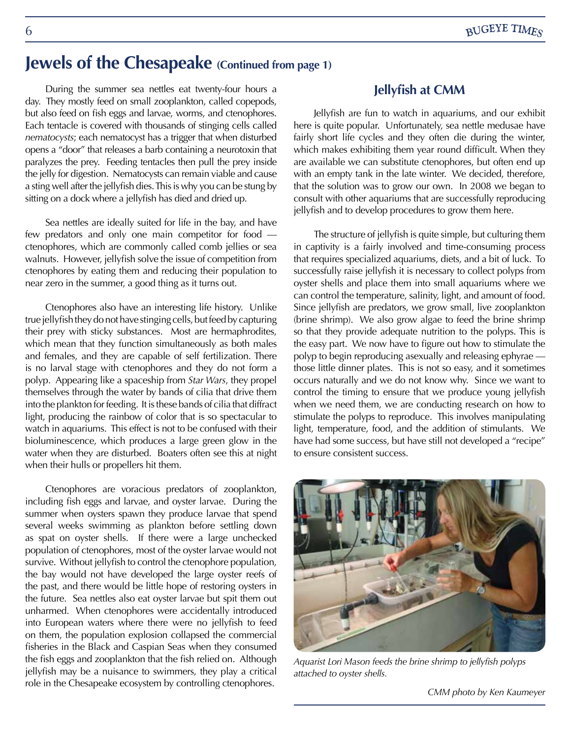## **Jewels of the Chesapeake (Continued from page 1)**

During the summer sea nettles eat twenty-four hours a day. They mostly feed on small zooplankton, called copepods, but also feed on fish eggs and larvae, worms, and ctenophores. Each tentacle is covered with thousands of stinging cells called *nematocysts*; each nematocyst has a trigger that when disturbed opens a "door" that releases a barb containing a neurotoxin that paralyzes the prey. Feeding tentacles then pull the prey inside the jelly for digestion. Nematocysts can remain viable and cause a sting well after the jellyfish dies. This is why you can be stung by sitting on a dock where a jellyfish has died and dried up.

Sea nettles are ideally suited for life in the bay, and have few predators and only one main competitor for food ctenophores, which are commonly called comb jellies or sea walnuts. However, jellyfish solve the issue of competition from ctenophores by eating them and reducing their population to near zero in the summer, a good thing as it turns out.

Ctenophores also have an interesting life history. Unlike true jellyfish they do not have stinging cells, but feed by capturing their prey with sticky substances. Most are hermaphrodites, which mean that they function simultaneously as both males and females, and they are capable of self fertilization. There is no larval stage with ctenophores and they do not form a polyp. Appearing like a spaceship from *Star Wars*, they propel themselves through the water by bands of cilia that drive them into the plankton for feeding. It is these bands of cilia that diffract light, producing the rainbow of color that is so spectacular to watch in aquariums. This effect is not to be confused with their bioluminescence, which produces a large green glow in the water when they are disturbed. Boaters often see this at night when their hulls or propellers hit them.

Ctenophores are voracious predators of zooplankton, including fish eggs and larvae, and oyster larvae. During the summer when oysters spawn they produce larvae that spend several weeks swimming as plankton before settling down as spat on oyster shells. If there were a large unchecked population of ctenophores, most of the oyster larvae would not survive. Without jellyfish to control the ctenophore population, the bay would not have developed the large oyster reefs of the past, and there would be little hope of restoring oysters in the future. Sea nettles also eat oyster larvae but spit them out unharmed. When ctenophores were accidentally introduced into European waters where there were no jellyfish to feed on them, the population explosion collapsed the commercial fisheries in the Black and Caspian Seas when they consumed the fish eggs and zooplankton that the fish relied on. Although jellyfish may be a nuisance to swimmers, they play a critical role in the Chesapeake ecosystem by controlling ctenophores.

#### **Jellyfish at CMM**

Jellyfish are fun to watch in aquariums, and our exhibit here is quite popular. Unfortunately, sea nettle medusae have fairly short life cycles and they often die during the winter, which makes exhibiting them year round difficult. When they are available we can substitute ctenophores, but often end up with an empty tank in the late winter. We decided, therefore, that the solution was to grow our own. In 2008 we began to consult with other aquariums that are successfully reproducing jellyfish and to develop procedures to grow them here.

The structure of jellyfish is quite simple, but culturing them in captivity is a fairly involved and time-consuming process that requires specialized aquariums, diets, and a bit of luck. To successfully raise jellyfish it is necessary to collect polyps from oyster shells and place them into small aquariums where we can control the temperature, salinity, light, and amount of food. Since jellyfish are predators, we grow small, live zooplankton (brine shrimp). We also grow algae to feed the brine shrimp so that they provide adequate nutrition to the polyps. This is the easy part. We now have to figure out how to stimulate the polyp to begin reproducing asexually and releasing ephyrae those little dinner plates. This is not so easy, and it sometimes occurs naturally and we do not know why. Since we want to control the timing to ensure that we produce young jellyfish when we need them, we are conducting research on how to stimulate the polyps to reproduce. This involves manipulating light, temperature, food, and the addition of stimulants. We have had some success, but have still not developed a "recipe" to ensure consistent success.



*Aquarist Lori Mason feeds the brine shrimp to jellyfish polyps attached to oyster shells.*

*CMM photo by Ken Kaumeyer*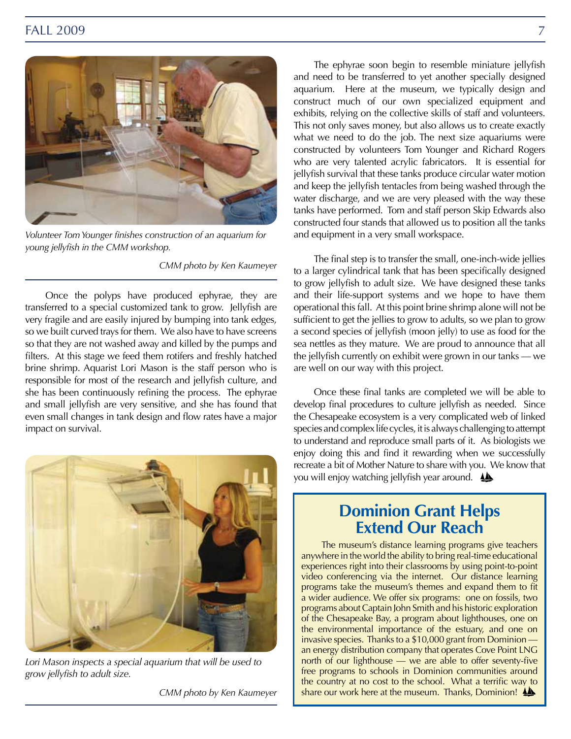

*Volunteer Tom Younger finishes construction of an aquarium for young jellyfish in the CMM workshop.*

*CMM photo by Ken Kaumeyer*

Once the polyps have produced ephyrae, they are transferred to a special customized tank to grow. Jellyfish are very fragile and are easily injured by bumping into tank edges, so we built curved trays for them. We also have to have screens so that they are not washed away and killed by the pumps and filters. At this stage we feed them rotifers and freshly hatched brine shrimp. Aquarist Lori Mason is the staff person who is responsible for most of the research and jellyfish culture, and she has been continuously refining the process. The ephyrae and small jellyfish are very sensitive, and she has found that even small changes in tank design and flow rates have a major impact on survival.



*Lori Mason inspects a special aquarium that will be used to grow jellyfish to adult size.*

*CMM photo by Ken Kaumeyer*

The ephyrae soon begin to resemble miniature jellyfish and need to be transferred to yet another specially designed aquarium. Here at the museum, we typically design and construct much of our own specialized equipment and exhibits, relying on the collective skills of staff and volunteers. This not only saves money, but also allows us to create exactly what we need to do the job. The next size aquariums were constructed by volunteers Tom Younger and Richard Rogers who are very talented acrylic fabricators. It is essential for jellyfish survival that these tanks produce circular water motion and keep the jellyfish tentacles from being washed through the water discharge, and we are very pleased with the way these tanks have performed. Tom and staff person Skip Edwards also constructed four stands that allowed us to position all the tanks and equipment in a very small workspace.

The final step is to transfer the small, one-inch-wide jellies to a larger cylindrical tank that has been specifically designed to grow jellyfish to adult size. We have designed these tanks and their life-support systems and we hope to have them operational this fall. At this point brine shrimp alone will not be sufficient to get the jellies to grow to adults, so we plan to grow a second species of jellyfish (moon jelly) to use as food for the sea nettles as they mature. We are proud to announce that all the jellyfish currently on exhibit were grown in our tanks — we are well on our way with this project.

Once these final tanks are completed we will be able to develop final procedures to culture jellyfish as needed. Since the Chesapeake ecosystem is a very complicated web of linked species and complex life cycles, it is always challenging to attempt to understand and reproduce small parts of it. As biologists we enjoy doing this and find it rewarding when we successfully recreate a bit of Mother Nature to share with you. We know that you will enjoy watching jellyfish year around.

## **Dominion Grant Helps Extend Our Reach**

The museum's distance learning programs give teachers anywhere in the world the ability to bring real-time educational experiences right into their classrooms by using point-to-point video conferencing via the internet. Our distance learning programs take the museum's themes and expand them to fit a wider audience. We offer six programs: one on fossils, two programs about Captain John Smith and his historic exploration of the Chesapeake Bay, a program about lighthouses, one on the environmental importance of the estuary, and one on invasive species. Thanks to a \$10,000 grant from Dominion an energy distribution company that operates Cove Point LNG north of our lighthouse — we are able to offer seventy-five free programs to schools in Dominion communities around the country at no cost to the school. What a terrific way to share our work here at the museum. Thanks, Dominion!